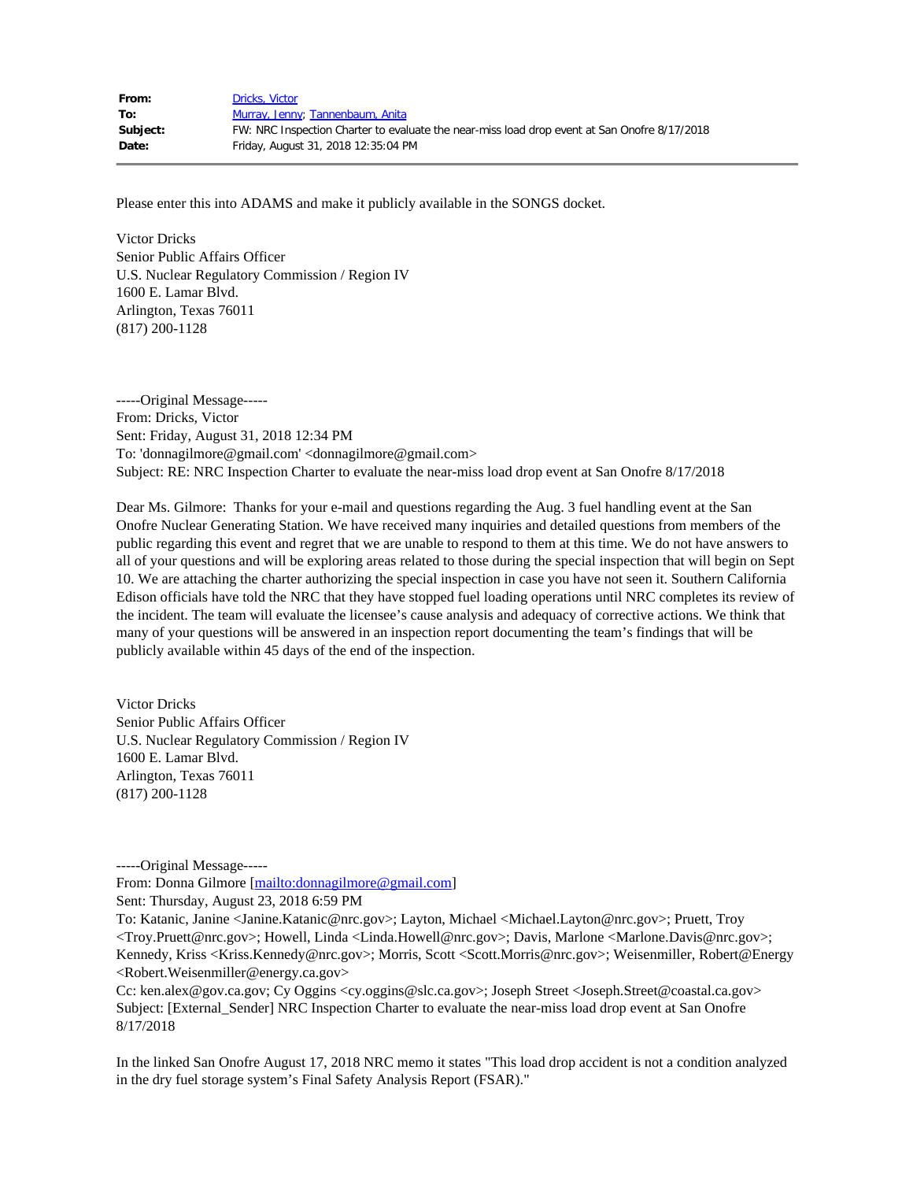| From:    | Dricks, Victor                                                                               |
|----------|----------------------------------------------------------------------------------------------|
| To:      | Murray, Jenny; Tannenbaum, Anita                                                             |
| Subject: | FW: NRC Inspection Charter to evaluate the near-miss load drop event at San Onofre 8/17/2018 |
| Date:    | Friday, August 31, 2018 12:35:04 PM                                                          |

Please enter this into ADAMS and make it publicly available in the SONGS docket.

Victor Dricks Senior Public Affairs Officer U.S. Nuclear Regulatory Commission / Region IV 1600 E. Lamar Blvd. Arlington, Texas 76011 (817) 200-1128

-----Original Message----- From: Dricks, Victor Sent: Friday, August 31, 2018 12:34 PM To: 'donnagilmore@gmail.com' <donnagilmore@gmail.com> Subject: RE: NRC Inspection Charter to evaluate the near-miss load drop event at San Onofre 8/17/2018

Dear Ms. Gilmore: Thanks for your e-mail and questions regarding the Aug. 3 fuel handling event at the San Onofre Nuclear Generating Station. We have received many inquiries and detailed questions from members of the public regarding this event and regret that we are unable to respond to them at this time. We do not have answers to all of your questions and will be exploring areas related to those during the special inspection that will begin on Sept 10. We are attaching the charter authorizing the special inspection in case you have not seen it. Southern California Edison officials have told the NRC that they have stopped fuel loading operations until NRC completes its review of the incident. The team will evaluate the licensee's cause analysis and adequacy of corrective actions. We think that many of your questions will be answered in an inspection report documenting the team's findings that will be publicly available within 45 days of the end of the inspection.

Victor Dricks Senior Public Affairs Officer U.S. Nuclear Regulatory Commission / Region IV 1600 E. Lamar Blvd. Arlington, Texas 76011 (817) 200-1128

-----Original Message-----

From: Donna Gilmore [\[mailto:donnagilmore@gmail.com](mailto:donnagilmore@gmail.com)]

Sent: Thursday, August 23, 2018 6:59 PM

To: Katanic, Janine <Janine.Katanic@nrc.gov>; Layton, Michael <Michael.Layton@nrc.gov>; Pruett, Troy <Troy.Pruett@nrc.gov>; Howell, Linda <Linda.Howell@nrc.gov>; Davis, Marlone <Marlone.Davis@nrc.gov>; Kennedy, Kriss <Kriss.Kennedy@nrc.gov>; Morris, Scott <Scott.Morris@nrc.gov>; Weisenmiller, Robert@Energy <Robert.Weisenmiller@energy.ca.gov>

Cc: ken.alex@gov.ca.gov; Cy Oggins <cy.oggins@slc.ca.gov>; Joseph Street <Joseph.Street@coastal.ca.gov> Subject: [External\_Sender] NRC Inspection Charter to evaluate the near-miss load drop event at San Onofre 8/17/2018

In the linked San Onofre August 17, 2018 NRC memo it states "This load drop accident is not a condition analyzed in the dry fuel storage system's Final Safety Analysis Report (FSAR)."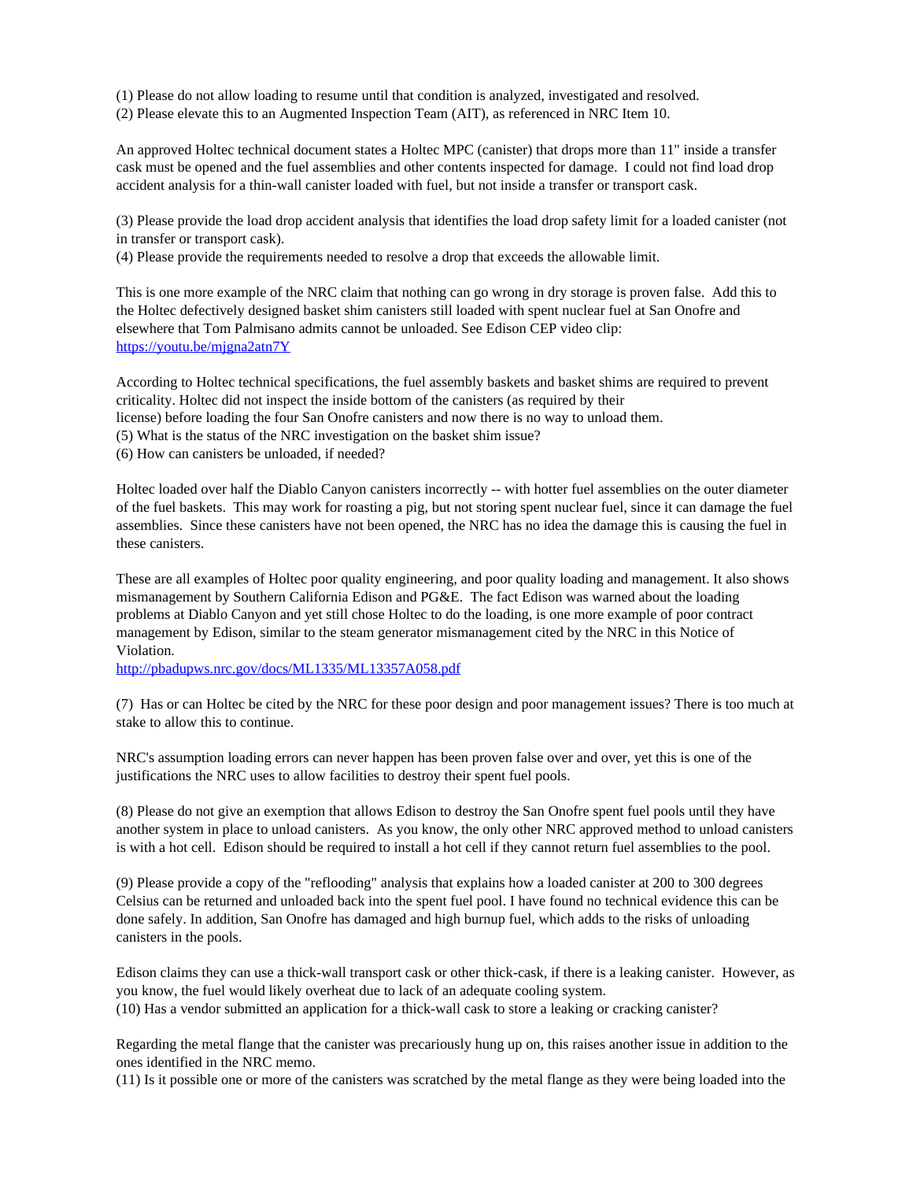(1) Please do not allow loading to resume until that condition is analyzed, investigated and resolved.

(2) Please elevate this to an Augmented Inspection Team (AIT), as referenced in NRC Item 10.

An approved Holtec technical document states a Holtec MPC (canister) that drops more than 11" inside a transfer cask must be opened and the fuel assemblies and other contents inspected for damage. I could not find load drop accident analysis for a thin-wall canister loaded with fuel, but not inside a transfer or transport cask.

(3) Please provide the load drop accident analysis that identifies the load drop safety limit for a loaded canister (not in transfer or transport cask).

(4) Please provide the requirements needed to resolve a drop that exceeds the allowable limit.

This is one more example of the NRC claim that nothing can go wrong in dry storage is proven false. Add this to the Holtec defectively designed basket shim canisters still loaded with spent nuclear fuel at San Onofre and elsewhere that Tom Palmisano admits cannot be unloaded. See Edison CEP video clip: <https://youtu.be/mjgna2atn7Y>

According to Holtec technical specifications, the fuel assembly baskets and basket shims are required to prevent criticality. Holtec did not inspect the inside bottom of the canisters (as required by their license) before loading the four San Onofre canisters and now there is no way to unload them.

(5) What is the status of the NRC investigation on the basket shim issue?

(6) How can canisters be unloaded, if needed?

Holtec loaded over half the Diablo Canyon canisters incorrectly -- with hotter fuel assemblies on the outer diameter of the fuel baskets. This may work for roasting a pig, but not storing spent nuclear fuel, since it can damage the fuel assemblies. Since these canisters have not been opened, the NRC has no idea the damage this is causing the fuel in these canisters.

These are all examples of Holtec poor quality engineering, and poor quality loading and management. It also shows mismanagement by Southern California Edison and PG&E. The fact Edison was warned about the loading problems at Diablo Canyon and yet still chose Holtec to do the loading, is one more example of poor contract management by Edison, similar to the steam generator mismanagement cited by the NRC in this Notice of Violation.

<http://pbadupws.nrc.gov/docs/ML1335/ML13357A058.pdf>

(7) Has or can Holtec be cited by the NRC for these poor design and poor management issues? There is too much at stake to allow this to continue.

NRC's assumption loading errors can never happen has been proven false over and over, yet this is one of the justifications the NRC uses to allow facilities to destroy their spent fuel pools.

(8) Please do not give an exemption that allows Edison to destroy the San Onofre spent fuel pools until they have another system in place to unload canisters. As you know, the only other NRC approved method to unload canisters is with a hot cell. Edison should be required to install a hot cell if they cannot return fuel assemblies to the pool.

(9) Please provide a copy of the "reflooding" analysis that explains how a loaded canister at 200 to 300 degrees Celsius can be returned and unloaded back into the spent fuel pool. I have found no technical evidence this can be done safely. In addition, San Onofre has damaged and high burnup fuel, which adds to the risks of unloading canisters in the pools.

Edison claims they can use a thick-wall transport cask or other thick-cask, if there is a leaking canister. However, as you know, the fuel would likely overheat due to lack of an adequate cooling system. (10) Has a vendor submitted an application for a thick-wall cask to store a leaking or cracking canister?

Regarding the metal flange that the canister was precariously hung up on, this raises another issue in addition to the ones identified in the NRC memo.

(11) Is it possible one or more of the canisters was scratched by the metal flange as they were being loaded into the